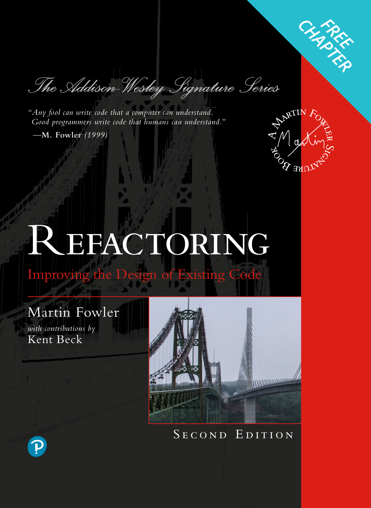*The Addison-Wesley Signature Series*

*" Any fool can write code that a computer can understand. Good programmers write code that humans can understand."* 

*—***M. Fowler** *(1999)*



*CHAPTER FREE* 

# REFACTORING

Improving the Design of Existing Code

# Martin Fowler

*with contributions by* Kent Beck



# SECOND EDITION

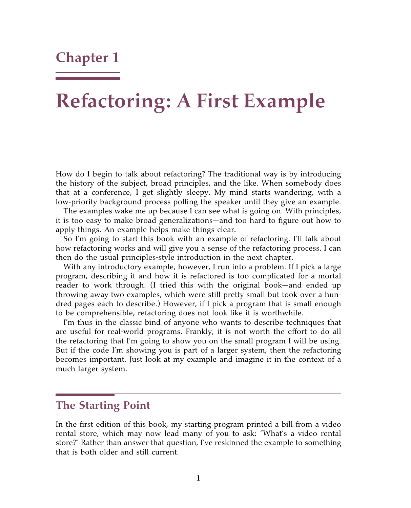# **Chapter 1**

# **Refactoring: A First Example**

How do I begin to talk about refactoring? The traditional way is by introducing the history of the subject, broad principles, and the like. When somebody does that at a conference, I get slightly sleepy. My mind starts wandering, with a low-priority background process polling the speaker until they give an example.

The examples wake me up because I can see what is going on. With principles, it is too easy to make broad generalizations—and too hard to figure out how to apply things. An example helps make things clear.

So I'm going to start this book with an example of refactoring. I'll talk about how refactoring works and will give you a sense of the refactoring process. I can then do the usual principles-style introduction in the next chapter.

With any introductory example, however, I run into a problem. If I pick a large program, describing it and how it is refactored is too complicated for a mortal reader to work through. (I tried this with the original book—and ended up throwing away two examples, which were still pretty small but took over a hundred pages each to describe.) However, if I pick a program that is small enough to be comprehensible, refactoring does not look like it is worthwhile.

I'm thus in the classic bind of anyone who wants to describe techniques that are useful for real-world programs. Frankly, it is not worth the effort to do all the refactoring that I'm going to show you on the small program I will be using. But if the code I'm showing you is part of a larger system, then the refactoring becomes important. Just look at my example and imagine it in the context of a much larger system.

#### **The Starting Point**

In the first edition of this book, my starting program printed a bill from a video rental store, which may now lead many of you to ask: "What's a video rental store?" Rather than answer that question, I've reskinned the example to something that is both older and still current.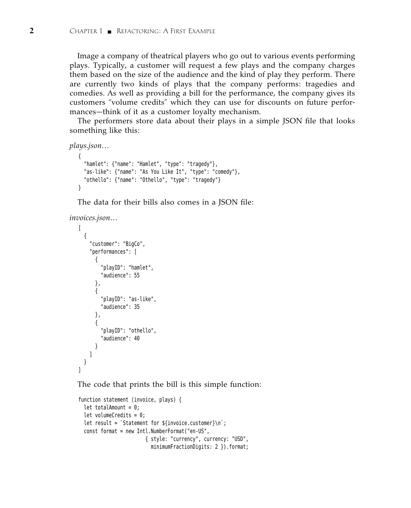Image a company of theatrical players who go out to various events performing plays. Typically, a customer will request a few plays and the company charges them based on the size of the audience and the kind of play they perform. There are currently two kinds of plays that the company performs: tragedies and comedies. As well as providing a bill for the performance, the company gives its customers "volume credits" which they can use for discounts on future performances—think of it as a customer loyalty mechanism.

The performers store data about their plays in a simple JSON file that looks something like this:

```
plays.json…
```

```
 {
   "hamlet": {"name": "Hamlet", "type": "tragedy"},
   "as-like": {"name": "As You Like It", "type": "comedy"},
   "othello": {"name": "Othello", "type": "tragedy"}
 }
```
The data for their bills also comes in a JSON file:

```
invoices.json…
```

```
\overline{\phantom{a}}\{ "customer": "BigCo",
        "performances": [
           {
             "playID": "hamlet",
             "audience": 55
          },
\overline{\mathcal{L}} "playID": "as-like",
             "audience": 35
           },
           {
             "playID": "othello",
             "audience": 40
          }
        ]
     }
   ]
```
The code that prints the bill is this simple function:

```
 function statement (invoice, plays) {
  let totalAmount = 0;
 let volumeCredits = 0;
  let result = `Statement for ${invoice.customer}\n`;
   const format = new Intl.NumberFormat("en-US",
                         { style: "currency", currency: "USD",
                           minimumFractionDigits: 2 }).format;
```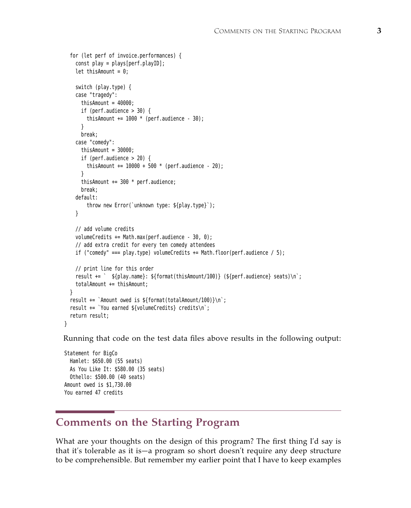```
 for (let perf of invoice.performances) {
      const play = plays[perf.playID];
     let thisAmount = 0:
      switch (play.type) {
      case "tragedy":
       thisAmount = 40000;
        if (perf.audience > 30) {
         thisAmount += 1000 * (perf.audience - 30); }
        break;
      case "comedy":
       thisAmount = 30000;
        if (perf.audience > 20) {
          thisAmount += 10000 + 500 * (perf.audience - 20); }
        thisAmount += 300 * perf.audience;
        break;
      default:
           throw new Error(`unknown type: ${play.type}`);
      }
      // add volume credits
      volumeCredits += Math.max(perf.audience - 30, 0);
      // add extra credit for every ten comedy attendees
      if ("comedy" === play.type) volumeCredits += Math.floor(perf.audience / 5);
      // print line for this order
      result += ` ${play.name}: ${format(thisAmount/100)} (${perf.audience} seats)\n`;
      totalAmount += thisAmount;
    }
    result += `Amount owed is ${format(totalAmount/100)}\n`;
    result += `You earned ${volumeCredits} credits\n`;
    return result;
```
Running that code on the test data files above results in the following output:

 Statement for BigCo Hamlet: \$650.00 (55 seats) As You Like It: \$580.00 (35 seats) Othello: \$500.00 (40 seats) Amount owed is \$1,730.00 You earned 47 credits

}

# **Comments on the Starting Program**

What are your thoughts on the design of this program? The first thing I'd say is that it's tolerable as it is—a program so short doesn't require any deep structure to be comprehensible. But remember my earlier point that I have to keep examples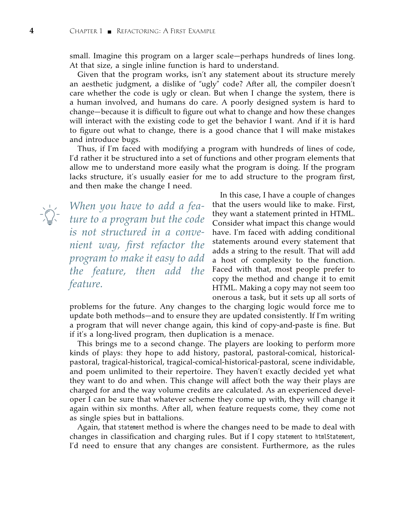small. Imagine this program on a larger scale—perhaps hundreds of lines long. At that size, a single inline function is hard to understand.

Given that the program works, isn't any statement about its structure merely an aesthetic judgment, a dislike of "ugly" code? After all, the compiler doesn't care whether the code is ugly or clean. But when I change the system, there is a human involved, and humans do care. A poorly designed system is hard to change—because it is difficult to figure out what to change and how these changes will interact with the existing code to get the behavior I want. And if it is hard to figure out what to change, there is a good chance that I will make mistakes and introduce bugs.

Thus, if I'm faced with modifying a program with hundreds of lines of code, I'd rather it be structured into a set of functions and other program elements that allow me to understand more easily what the program is doing. If the program lacks structure, it's usually easier for me to add structure to the program first, and then make the change I need.



*When you have to add a feature to a program but the code is not structured in a convenient way, first refactor the program to make it easy to add the feature, then add the feature.*

In this case, I have a couple of changes that the users would like to make. First, they want a statement printed in HTML. Consider what impact this change would have. I'm faced with adding conditional statements around every statement that adds a string to the result. That will add a host of complexity to the function. Faced with that, most people prefer to copy the method and change it to emit HTML. Making a copy may not seem too onerous a task, but it sets up all sorts of

problems for the future. Any changes to the charging logic would force me to update both methods—and to ensure they are updated consistently. If I'm writing a program that will never change again, this kind of copy-and-paste is fine. But if it's a long-lived program, then duplication is a menace.

This brings me to a second change. The players are looking to perform more kinds of plays: they hope to add history, pastoral, pastoral-comical, historicalpastoral, tragical-historical, tragical-comical-historical-pastoral, scene individable, and poem unlimited to their repertoire. They haven't exactly decided yet what they want to do and when. This change will affect both the way their plays are charged for and the way volume credits are calculated. As an experienced developer I can be sure that whatever scheme they come up with, they will change it again within six months. After all, when feature requests come, they come not as single spies but in battalions.

Again, that statement method is where the changes need to be made to deal with changes in classification and charging rules. But if I copy statement to htmlStatement, I'd need to ensure that any changes are consistent. Furthermore, as the rules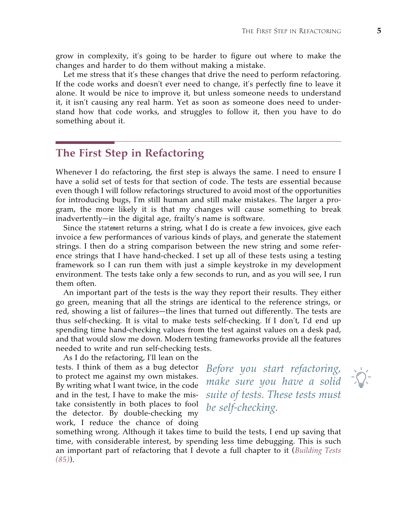grow in complexity, it's going to be harder to figure out where to make the changes and harder to do them without making a mistake.

Let me stress that it's these changes that drive the need to perform refactoring. If the code works and doesn't ever need to change, it's perfectly fine to leave it alone. It would be nice to improve it, but unless someone needs to understand it, it isn't causing any real harm. Yet as soon as someone does need to understand how that code works, and struggles to follow it, then you have to do something about it.

## **The First Step in Refactoring**

Whenever I do refactoring, the first step is always the same. I need to ensure I have a solid set of tests for that section of code. The tests are essential because even though I will follow refactorings structured to avoid most of the opportunities for introducing bugs, I'm still human and still make mistakes. The larger a program, the more likely it is that my changes will cause something to break inadvertently—in the digital age, frailty's name is software.

Since the statement returns a string, what I do is create a few invoices, give each invoice a few performances of various kinds of plays, and generate the statement strings. I then do a string comparison between the new string and some reference strings that I have hand-checked. I set up all of these tests using a testing framework so I can run them with just a simple keystroke in my development environment. The tests take only a few seconds to run, and as you will see, I run them often.

An important part of the tests is the way they report their results. They either go green, meaning that all the strings are identical to the reference strings, or red, showing a list of failures—the lines that turned out differently. The tests are thus self-checking. It is vital to make tests self-checking. If I don't, I'd end up spending time hand-checking values from the test against values on a desk pad, and that would slow me down. Modern testing frameworks provide all the features needed to write and run self-checking tests.

As I do the refactoring, I'll lean on the tests. I think of them as a bug detector to protect me against my own mistakes. By writing what I want twice, in the code and in the test, I have to make the mistake consistently in both places to fool the detector. By double-checking my work, I reduce the chance of doing

*Before you start refactoring, make sure you have a solid suite of tests. These tests must be self-checking.*

something wrong. Although it takes time to build the tests, I end up saving that time, with considerable interest, by spending less time debugging. This is such an important part of refactoring that I devote a full chapter to it (*Building Tests (85)*).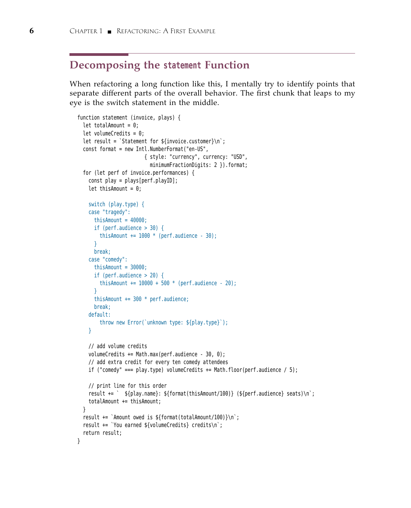# **Decomposing the statement Function**

When refactoring a long function like this, I mentally try to identify points that separate different parts of the overall behavior. The first chunk that leaps to my eye is the switch statement in the middle.

```
function statement (invoice, plays) {
  let totalAmount = 0:
  let volumeCredits = 0;
   let result = `Statement for ${invoice.customer}\n`;
   const format = new Intl.NumberFormat("en-US",
                          { style: "currency", currency: "USD",
                            minimumFractionDigits: 2 }).format;
   for (let perf of invoice.performances) {
     const play = plays[perf.playID];
    let thisAmount = 0;
     switch (play.type) {
     case "tragedy":
      thisAmount = <math>40000</math>: if (perf.audience > 30) {
        thisAmount += 1000 * (perf.audience - 30); }
       break;
     case "comedy":
      thisAmount = <math>30000</math>: if (perf.audience > 20) {
        thisAmount += 10000 + 500 * (perf.audience - 20); }
       thisAmount += 300 * perf.audience;
       break;
     default:
         throw new Error(`unknown type: ${play.type}`);
     }
     // add volume credits
     volumeCredits += Math.max(perf.audience - 30, 0);
     // add extra credit for every ten comedy attendees
     if ("comedy" === play.type) volumeCredits += Math.floor(perf.audience / 5);
     // print line for this order
     result += ` ${play.name}: ${format(thisAmount/100)} (${perf.audience} seats)\n`;
     totalAmount += thisAmount;
 }
   result += `Amount owed is ${format(totalAmount/100)}\n`;
   result += `You earned ${volumeCredits} credits\n`;
   return result;
}
```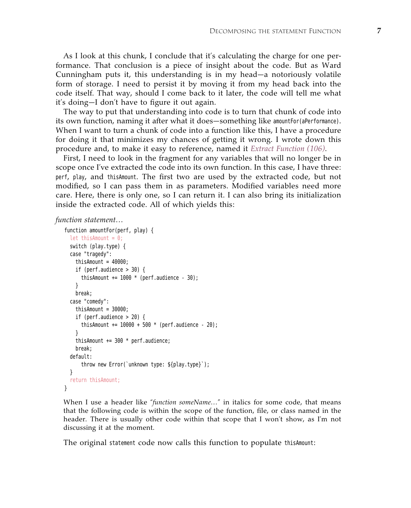As I look at this chunk, I conclude that it's calculating the charge for one performance. That conclusion is a piece of insight about the code. But as Ward Cunningham puts it, this understanding is in my head—a notoriously volatile form of storage. I need to persist it by moving it from my head back into the code itself. That way, should I come back to it later, the code will tell me what it's doing—I don't have to figure it out again.

The way to put that understanding into code is to turn that chunk of code into its own function, naming it after what it does—something like amountFor(aPerformance). When I want to turn a chunk of code into a function like this, I have a procedure for doing it that minimizes my chances of getting it wrong. I wrote down this procedure and, to make it easy to reference, named it *Extract Function (106)*.

First, I need to look in the fragment for any variables that will no longer be in scope once I've extracted the code into its own function. In this case, I have three: perf, play, and thisAmount. The first two are used by the extracted code, but not modified, so I can pass them in as parameters. Modified variables need more care. Here, there is only one, so I can return it. I can also bring its initialization inside the extracted code. All of which yields this:

```
function statement…
```

```
 function amountFor(perf, play) {
   let thisAmount = 0;
    switch (play.type) {
    case "tragedy":
     thisAmount = 40000; if (perf.audience > 30) {
       thisAmount += 1000 * (perf.audience - 30); }
      break;
    case "comedy":
     thisAmount = <math>30000;</math> if (perf.audience > 20) {
        thisAmount += 10000 + 500 * (perf.audience - 20); }
      thisAmount += 300 * perf.audience;
      break;
    default:
         throw new Error(`unknown type: ${play.type}`);
    }
    return thisAmount;
  }
```
When I use a header like "*function someName…*" in italics for some code, that means that the following code is within the scope of the function, file, or class named in the header. There is usually other code within that scope that I won't show, as I'm not discussing it at the moment.

The original statement code now calls this function to populate thisAmount: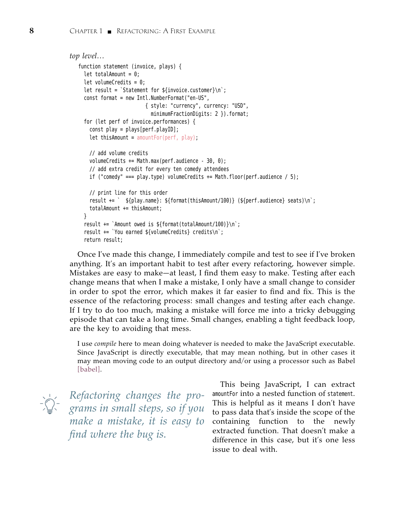```
top level…
    function statement (invoice, plays) {
     let totalAmount = 0;
    let volumeCredits = 0;
     let result = `Statement for ${invoice.customer}\n`;
      const format = new Intl.NumberFormat("en-US",
                            { style: "currency", currency: "USD",
                              minimumFractionDigits: 2 }).format;
      for (let perf of invoice.performances) {
        const play = plays[perf.playID];
        let thisAmount = amountFor(perf, play);
        // add volume credits
        volumeCredits += Math.max(perf.audience - 30, 0);
        // add extra credit for every ten comedy attendees
        if ("comedy" === play.type) volumeCredits += Math.floor(perf.audience / 5);
        // print line for this order
        result += ` ${play.name}: ${format(thisAmount/100)} (${perf.audience} seats)\n`;
        totalAmount += thisAmount;
      }
      result += `Amount owed is ${format(totalAmount/100)}\n`;
      result += `You earned ${volumeCredits} credits\n`;
      return result;
```
Once I've made this change, I immediately compile and test to see if I've broken anything. It's an important habit to test after every refactoring, however simple. Mistakes are easy to make—at least, I find them easy to make. Testing after each change means that when I make a mistake, I only have a small change to consider in order to spot the error, which makes it far easier to find and fix. This is the essence of the refactoring process: small changes and testing after each change. If I try to do too much, making a mistake will force me into a tricky debugging episode that can take a long time. Small changes, enabling a tight feedback loop, are the key to avoiding that mess.

I use *compile* here to mean doing whatever is needed to make the JavaScript executable. Since JavaScript is directly executable, that may mean nothing, but in other cases it may mean moving code to an output directory and/or using a processor such as Babel [babel].



*Refactoring changes the programs in small steps, so if you make a mistake, it is easy to find where the bug is.*

This being JavaScript, I can extract amountFor into a nested function of statement. This is helpful as it means I don't have to pass data that's inside the scope of the containing function to the newly extracted function. That doesn't make a difference in this case, but it's one less issue to deal with.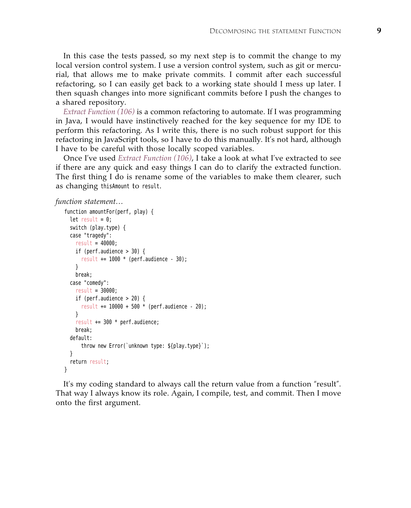In this case the tests passed, so my next step is to commit the change to my local version control system. I use a version control system, such as git or mercurial, that allows me to make private commits. I commit after each successful refactoring, so I can easily get back to a working state should I mess up later. I then squash changes into more significant commits before I push the changes to a shared repository.

*Extract Function (106)* is a common refactoring to automate. If I was programming in Java, I would have instinctively reached for the key sequence for my IDE to perform this refactoring. As I write this, there is no such robust support for this refactoring in JavaScript tools, so I have to do this manually. It's not hard, although I have to be careful with those locally scoped variables.

Once I've used *Extract Function (106)*, I take a look at what I've extracted to see if there are any quick and easy things I can do to clarify the extracted function. The first thing I do is rename some of the variables to make them clearer, such as changing thisAmount to result.

*function statement…*

```
 function amountFor(perf, play) {
   let result = 0;
    switch (play.type) {
    case "tragedy":
     result = 40000;
      if (perf.audience > 30) {
       result += 1000 * (perf.audience - 30); }
      break;
    case "comedy":
     result = 30000;
      if (perf.audience > 20) {
       result += 10000 + 500 * (perf.audience - 20); }
     result += 300 * perf.audience;
      break;
    default:
        throw new Error(`unknown type: ${play.type}`);
    }
    return result;
  }
```
It's my coding standard to always call the return value from a function "result". That way I always know its role. Again, I compile, test, and commit. Then I move onto the first argument.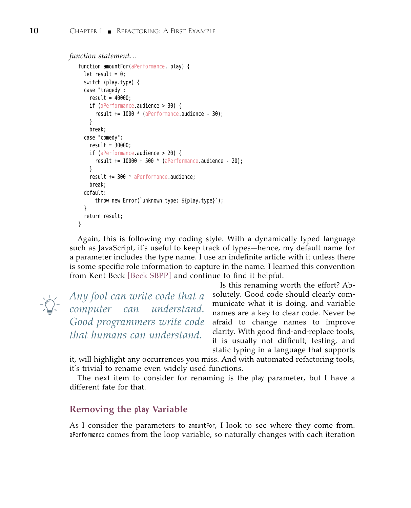```
function statement…
    function amountFor(aPerformance, play) {
     let result = 0:
      switch (play.type) {
      case "tragedy":
       result = 40000; if (aPerformance.audience > 30) {
          result += 1000 * (aPerformance.audience - 30);
  }
        break;
      case "comedy":
        result = 30000;
        if (aPerformance.audience > 20) {
         result += 10000 + 500 * (aPerformance.audience - 20);
        }
        result += 300 * aPerformance.audience;
        break;
      default:
          throw new Error(`unknown type: ${play.type}`);
      }
      return result;
    }
```
Again, this is following my coding style. With a dynamically typed language such as JavaScript, it's useful to keep track of types—hence, my default name for a parameter includes the type name. I use an indefinite article with it unless there is some specific role information to capture in the name. I learned this convention from Kent Beck [Beck SBPP] and continue to find it helpful.



*Any fool can write code that a computer can understand. Good programmers write code that humans can understand.*

Is this renaming worth the effort? Absolutely. Good code should clearly communicate what it is doing, and variable names are a key to clear code. Never be afraid to change names to improve clarity. With good find-and-replace tools, it is usually not difficult; testing, and static typing in a language that supports

it, will highlight any occurrences you miss. And with automated refactoring tools, it's trivial to rename even widely used functions.

The next item to consider for renaming is the play parameter, but I have a different fate for that.

#### **Removing the play Variable**

As I consider the parameters to amountFor, I look to see where they come from. aPerformance comes from the loop variable, so naturally changes with each iteration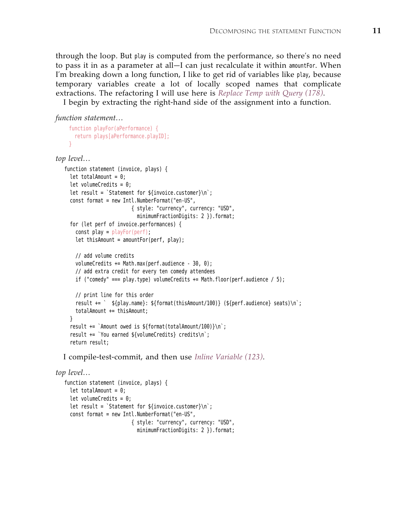through the loop. But play is computed from the performance, so there's no need to pass it in as a parameter at all—I can just recalculate it within amountFor. When I'm breaking down a long function, I like to get rid of variables like play, because temporary variables create a lot of locally scoped names that complicate extractions. The refactoring I will use here is *Replace Temp with Query (178)*.

I begin by extracting the right-hand side of the assignment into a function.

*function statement…*

```
 function playFor(aPerformance) {
       return plays[aPerformance.playID];
     }
top level…
    function statement (invoice, plays) {
     let totalAmount = 0;
     let volumeCredits = 0;
      let result = `Statement for ${invoice.customer}\n`;
      const format = new Intl.NumberFormat("en-US",
                            { style: "currency", currency: "USD",
                              minimumFractionDigits: 2 }).format;
      for (let perf of invoice.performances) {
       const play = playFor(perf); let thisAmount = amountFor(perf, play);
        // add volume credits
        volumeCredits += Math.max(perf.audience - 30, 0);
        // add extra credit for every ten comedy attendees
        if ("comedy" === play.type) volumeCredits += Math.floor(perf.audience / 5);
        // print line for this order
        result += ` ${play.name}: ${format(thisAmount/100)} (${perf.audience} seats)\n`;
        totalAmount += thisAmount;
      }
      result += `Amount owed is ${format(totalAmount/100)}\n`;
      result += `You earned ${volumeCredits} credits\n`;
      return result;
  I compile-test-commit, and then use Inline Variable (123).
top level…
```

```
 function statement (invoice, plays) {
 let totalAmount = 0;
 let volumeCredits = 0;
  let result = `Statement for ${invoice.customer}\n`;
   const format = new Intl.NumberFormat("en-US",
                         { style: "currency", currency: "USD",
                           minimumFractionDigits: 2 }).format;
```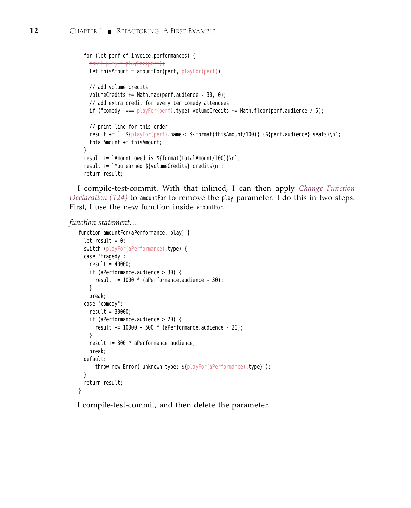```
 for (let perf of invoice.performances) {
  const play = playFor(perf);
  let thisAmount = amountFor(perf, playFor(perf));
   // add volume credits
   volumeCredits += Math.max(perf.audience - 30, 0);
   // add extra credit for every ten comedy attendees
   if ("comedy" === playFor(perf).type) volumeCredits += Math.floor(perf.audience / 5);
   // print line for this order
   result += ` ${playFor(perf).name}: ${format(thisAmount/100)} (${perf.audience} seats)\n`;
   totalAmount += thisAmount;
 }
 result += `Amount owed is ${format(totalAmount/100)}\n`;
 result += `You earned ${volumeCredits} credits\n`;
 return result;
```
I compile-test-commit. With that inlined, I can then apply *Change Function Declaration (124)* to amountFor to remove the play parameter. I do this in two steps. First, I use the new function inside amountFor.

```
function statement…
```

```
 function amountFor(aPerformance, play) {
   let result = 0:
    switch (playFor(aPerformance).type) {
    case "tragedy":
     result = 40000; if (aPerformance.audience > 30) {
        result += 1000 * (aPerformance.audience - 30);
 }
      break;
    case "comedy":
      result = 30000;
      if (aPerformance.audience > 20) {
       result += 10000 + 500 * (aPerformance.audience - 20);
 }
      result += 300 * aPerformance.audience;
      break;
    default:
        throw new Error(`unknown type: ${playFor(aPerformance).type}`);
    }
    return result;
  }
```
I compile-test-commit, and then delete the parameter.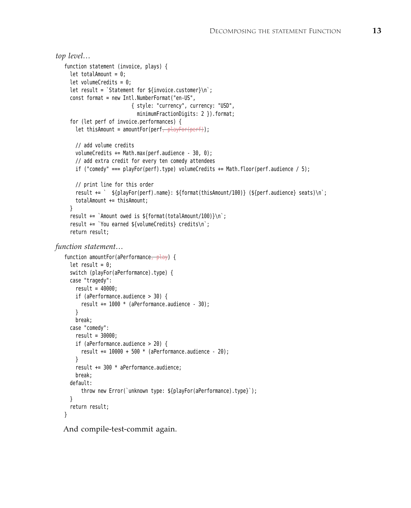```
top level…
    function statement (invoice, plays) {
     let totalAmount = 0:
     let volumeCredits = 0;
      let result = `Statement for ${invoice.customer}\n`;
      const format = new Intl.NumberFormat("en-US",
                             { style: "currency", currency: "USD",
                               minimumFractionDigits: 2 }).format;
      for (let perf of invoice.performances) {
       let thisAmount = amountFor(perf, plane per(perf));
        // add volume credits
        volumeCredits += Math.max(perf.audience - 30, 0);
        // add extra credit for every ten comedy attendees
       if ("comedy" === playFor(perf).type) volumeCredits += Math.floor(perf.audience / 5); // print line for this order
        result += ` ${playFor(perf).name}: ${format(thisAmount/100)} (${perf.audience} seats)\n`;
        totalAmount += thisAmount;
      }
      result += `Amount owed is ${format(totalAmount/100)}\n`;
      result += `You earned ${volumeCredits} credits\n`;
      return result;
function statement…
   function amountFor(aPerformance, play) {
     let result = 0;
      switch (playFor(aPerformance).type) {
      case "tragedy":
        result = 40000;
        if (aPerformance.audience > 30) {
          result += 1000 * (aPerformance.audience - 30);
        }
        break;
      case "comedy":
        result = 30000;
        if (aPerformance.audience > 20) {
         result += 10000 + 500 * (aPerformance.audience - 20); }
        result += 300 * aPerformance.audience;
        break;
      default:
          throw new Error(`unknown type: ${playFor(aPerformance).type}`);
      }
      return result;
    }
```
And compile-test-commit again.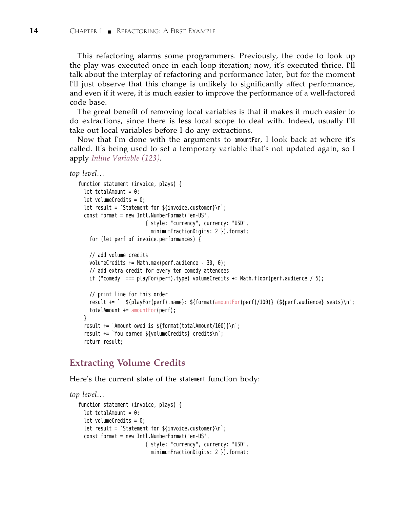This refactoring alarms some programmers. Previously, the code to look up the play was executed once in each loop iteration; now, it's executed thrice. I'll talk about the interplay of refactoring and performance later, but for the moment I'll just observe that this change is unlikely to significantly affect performance, and even if it were, it is much easier to improve the performance of a well-factored code base.

The great benefit of removing local variables is that it makes it much easier to do extractions, since there is less local scope to deal with. Indeed, usually I'll take out local variables before I do any extractions.

Now that I'm done with the arguments to amountFor, I look back at where it's called. It's being used to set a temporary variable that's not updated again, so I apply *Inline Variable (123)*.

```
top level…
```

```
 function statement (invoice, plays) {
 let totalAmount = 0;
 let volumeCredits = 0:
  let result = `Statement for ${invoice.customer}\n`;
   const format = new Intl.NumberFormat("en-US",
                         { style: "currency", currency: "USD",
                           minimumFractionDigits: 2 }).format;
     for (let perf of invoice.performances) {
     // add volume credits
     volumeCredits += Math.max(perf.audience - 30, 0);
     // add extra credit for every ten comedy attendees
     if ("comedy" === playFor(perf).type) volumeCredits += Math.floor(perf.audience / 5);
     // print line for this order
     result += ` ${playFor(perf).name}: ${format(amountFor(perf)/100)} (${perf.audience} seats)\n`;
     totalAmount += amountFor(perf);
   }
   result += `Amount owed is ${format(totalAmount/100)}\n`;
   result += `You earned ${volumeCredits} credits\n`;
   return result;
```
#### **Extracting Volume Credits**

Here's the current state of the statement function body:

```
top level…
    function statement (invoice, plays) {
     let totalAmount = 0;
    let volumeCredits = 0;
     let result = `Statement for ${invoice.customer}\n`;
     const format = new Intl.NumberFormat("en-US",
                            { style: "currency", currency: "USD",
                              minimumFractionDigits: 2 }).format;
```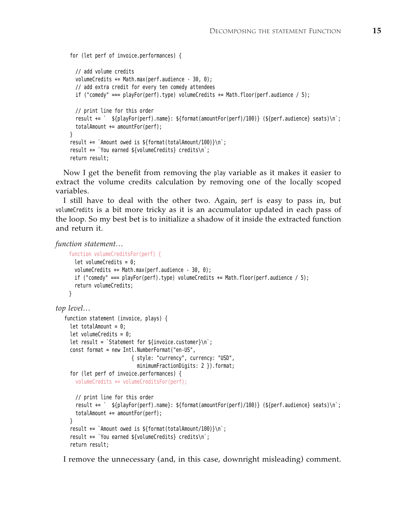```
 for (let perf of invoice.performances) {
  // add volume credits
  volumeCredits += Math.max(perf.audience - 30, 0);
  // add extra credit for every ten comedy attendees
  if ("comedy" === playFor(perf).type) volumeCredits += Math.floor(perf.audience / 5);
  // print line for this order
  result += ` ${playFor(perf).name}: ${format(amountFor(perf)/100)} (${perf.audience} seats)\n`;
  totalAmount += amountFor(perf);
 }
 result += `Amount owed is ${format(totalAmount/100)}\n`;
 result += `You earned ${volumeCredits} credits\n`;
 return result;
```
Now I get the benefit from removing the play variable as it makes it easier to extract the volume credits calculation by removing one of the locally scoped variables.

I still have to deal with the other two. Again, perf is easy to pass in, but volumeCredits is a bit more tricky as it is an accumulator updated in each pass of the loop. So my best bet is to initialize a shadow of it inside the extracted function and return it.

```
function statement…
```

```
 function volumeCreditsFor(perf) {
        let volumeCredits = 0;
        volumeCredits += Math.max(perf.audience - 30, 0);
        if ("comedy" === playFor(perf).type) volumeCredits += Math.floor(perf.audience / 5);
        return volumeCredits;
     }
top level…
    function statement (invoice, plays) {
      let totalAmount = 0;
     let volumeCredits = 0;
      let result = `Statement for ${invoice.customer}\n`;
      const format = new Intl.NumberFormat("en-US",
                             { style: "currency", currency: "USD",
                               minimumFractionDigits: 2 }).format;
      for (let perf of invoice.performances) {
        volumeCredits += volumeCreditsFor(perf);
        // print line for this order
        result += ` ${playFor(perf).name}: ${format(amountFor(perf)/100)} (${perf.audience} seats)\n`;
        totalAmount += amountFor(perf);
      }
      result += `Amount owed is ${format(totalAmount/100)}\n`;
      result += `You earned ${volumeCredits} credits\n`;
      return result;
```
I remove the unnecessary (and, in this case, downright misleading) comment.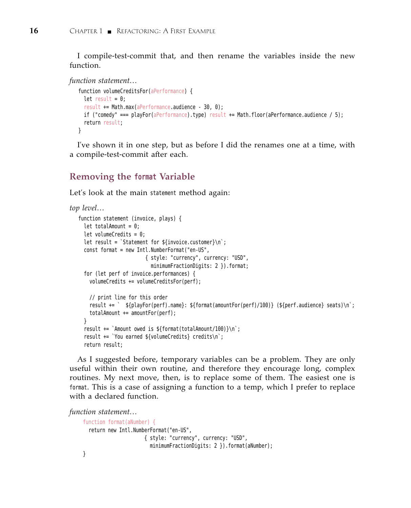I compile-test-commit that, and then rename the variables inside the new function.

```
function statement…
    function volumeCreditsFor(aPerformance) {
      let result = 0;
     result += Math.max(aPerformance.audience - 30, 0);
      if ("comedy" === playFor(aPerformance).type) result += Math.floor(aPerformance.audience / 5);
      return result;
    }
```
I've shown it in one step, but as before I did the renames one at a time, with a compile-test-commit after each.

#### **Removing the format Variable**

Let's look at the main statement method again:

```
top level…
    function statement (invoice, plays) {
     let totalAmount = 0;
    let volumeCredits = 0;
     let result = `Statement for ${invoice.customer}\n`;
      const format = new Intl.NumberFormat("en-US",
                            { style: "currency", currency: "USD",
                              minimumFractionDigits: 2 }).format;
      for (let perf of invoice.performances) {
        volumeCredits += volumeCreditsFor(perf);
        // print line for this order
        result += ` ${playFor(perf).name}: ${format(amountFor(perf)/100)} (${perf.audience} seats)\n`;
        totalAmount += amountFor(perf);
     }
      result += `Amount owed is ${format(totalAmount/100)}\n`;
      result += `You earned ${volumeCredits} credits\n`;
      return result;
```
As I suggested before, temporary variables can be a problem. They are only useful within their own routine, and therefore they encourage long, complex routines. My next move, then, is to replace some of them. The easiest one is format. This is a case of assigning a function to a temp, which I prefer to replace with a declared function.

*function statement…*

```
 function format(aNumber) {
   return new Intl.NumberFormat("en-US",
                       { style: "currency", currency: "USD",
                        minimumFractionDigits: 2 }).format(aNumber);
 }
```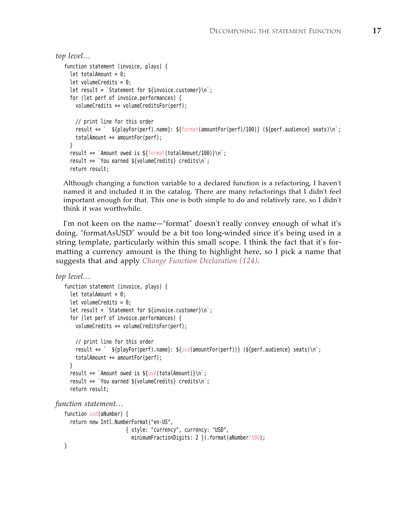```
top level…
    function statement (invoice, plays) {
      let totalAmount = 0;
      let volumeCredits = 0;
      let result = `Statement for ${invoice.customer}\n`;
      for (let perf of invoice.performances) {
        volumeCredits += volumeCreditsFor(perf);
        // print line for this order
        result += ` ${playFor(perf).name}: ${format(amountFor(perf)/100)} (${perf.audience} seats)\n`;
        totalAmount += amountFor(perf);
  }
      result += `Amount owed is ${format(totalAmount/100)}\n`;
      result += `You earned ${volumeCredits} credits\n`;
      return result;
```
Although changing a function variable to a declared function is a refactoring, I haven't named it and included it in the catalog. There are many refactorings that I didn't feel important enough for that. This one is both simple to do and relatively rare, so I didn't think it was worthwhile.

I'm not keen on the name—"format" doesn't really convey enough of what it's doing. "formatAsUSD" would be a bit too long-winded since it's being used in a string template, particularly within this small scope. I think the fact that it's formatting a currency amount is the thing to highlight here, so I pick a name that suggests that and apply *Change Function Declaration (124)*.

```
top level…
    function statement (invoice, plays) {
     let totalAmount = 0;
     let volumeCredits = 0;
      let result = `Statement for ${invoice.customer}\n`;
      for (let perf of invoice.performances) {
        volumeCredits += volumeCreditsFor(perf);
        // print line for this order
       result += ` ${playFor(perf).name}: ${usd(amountFor(perf))} (${perf.audience} seats)\n`;
        totalAmount += amountFor(perf);
      }
     result += `Amount owed is \frac{1}{3} (totalAmount)}\n`;
      result += `You earned ${volumeCredits} credits\n`;
      return result;
function statement…
    function usd(aNumber) {
      return new Intl.NumberFormat("en-US",
                           { style: "currency", currency: "USD",
                            minimumFractionDigits: 2 }).format(aNumber/100);
    }
```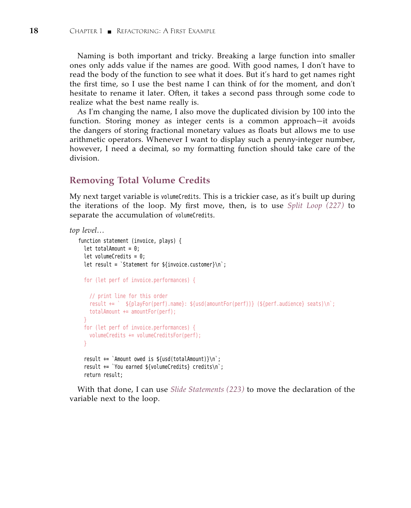Naming is both important and tricky. Breaking a large function into smaller ones only adds value if the names are good. With good names, I don't have to read the body of the function to see what it does. But it's hard to get names right the first time, so I use the best name I can think of for the moment, and don't hesitate to rename it later. Often, it takes a second pass through some code to realize what the best name really is.

As I'm changing the name, I also move the duplicated division by 100 into the function. Storing money as integer cents is a common approach—it avoids the dangers of storing fractional monetary values as floats but allows me to use arithmetic operators. Whenever I want to display such a penny-integer number, however, I need a decimal, so my formatting function should take care of the division.

#### **Removing Total Volume Credits**

My next target variable is volumeCredits. This is a trickier case, as it's built up during the iterations of the loop. My first move, then, is to use *Split Loop (227)* to separate the accumulation of volumeCredits.

```
top level…
```

```
 function statement (invoice, plays) {
   let totalAmount = 0;
   let volumeCredits = 0;
    let result = `Statement for ${invoice.customer}\n`;
    for (let perf of invoice.performances) {
      // print line for this order
      result += ` ${playFor(perf).name}: ${usd(amountFor(perf))} (${perf.audience} seats)\n`;
      totalAmount += amountFor(perf);
 }
    for (let perf of invoice.performances) {
      volumeCredits += volumeCreditsFor(perf);
    }
    result += `Amount owed is ${usd(totalAmount)}\n`;
    result += `You earned ${volumeCredits} credits\n`;
    return result;
```
With that done, I can use *Slide Statements (223)* to move the declaration of the variable next to the loop.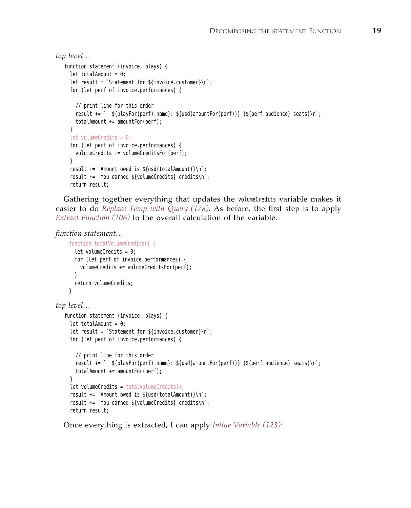```
top level…
    function statement (invoice, plays) {
      let totalAmount = 0;
      let result = `Statement for ${invoice.customer}\n`;
      for (let perf of invoice.performances) {
        // print line for this order
        result += ` ${playFor(perf).name}: ${usd(amountFor(perf))} (${perf.audience} seats)\n`;
        totalAmount += amountFor(perf);
      }
     let volumeCredits = 0;
      for (let perf of invoice.performances) {
        volumeCredits += volumeCreditsFor(perf);
      }
      result += `Amount owed is ${usd(totalAmount)}\n`;
      result += `You earned ${volumeCredits} credits\n`;
      return result;
```
Gathering together everything that updates the volumeCredits variable makes it easier to do *Replace Temp with Query (178)*. As before, the first step is to apply *Extract Function (106)* to the overall calculation of the variable.

```
function statement…
```

```
 function totalVolumeCredits() {
      let volumeCredits = 0;
        for (let perf of invoice.performances) {
          volumeCredits += volumeCreditsFor(perf);
        }
        return volumeCredits;
     }
top level…
    function statement (invoice, plays) {
     let totalAmount = 0:
      let result = `Statement for ${invoice.customer}\n`;
      for (let perf of invoice.performances) {
        // print line for this order
        result += ` ${playFor(perf).name}: ${usd(amountFor(perf))} (${perf.audience} seats)\n`;
        totalAmount += amountFor(perf);
      }
      let volumeCredits = totalVolumeCredits();
      result += `Amount owed is ${usd(totalAmount)}\n`;
      result += `You earned ${volumeCredits} credits\n`;
      return result;
```
Once everything is extracted, I can apply *Inline Variable (123)*: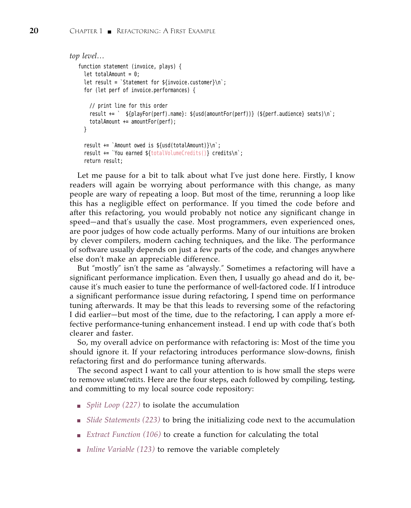```
top level…
    function statement (invoice, plays) {
     let totalAmount = 0;
     let result = `Statement for ${invoice.customer}\n`;
      for (let perf of invoice.performances) {
        // print line for this order
        result += ` ${playFor(perf).name}: ${usd(amountFor(perf))} (${perf.audience} seats)\n`;
        totalAmount += amountFor(perf);
      }
      result += `Amount owed is ${usd(totalAmount)}\n`;
      result += `You earned ${totalVolumeCredits()} credits\n`;
      return result;
```
Let me pause for a bit to talk about what I've just done here. Firstly, I know readers will again be worrying about performance with this change, as many people are wary of repeating a loop. But most of the time, rerunning a loop like this has a negligible effect on performance. If you timed the code before and after this refactoring, you would probably not notice any significant change in speed—and that's usually the case. Most programmers, even experienced ones, are poor judges of how code actually performs. Many of our intuitions are broken by clever compilers, modern caching techniques, and the like. The performance of software usually depends on just a few parts of the code, and changes anywhere else don't make an appreciable difference.

But "mostly" isn't the same as "alwaysly." Sometimes a refactoring will have a significant performance implication. Even then, I usually go ahead and do it, because it's much easier to tune the performance of well-factored code. If I introduce a significant performance issue during refactoring, I spend time on performance tuning afterwards. It may be that this leads to reversing some of the refactoring I did earlier—but most of the time, due to the refactoring, I can apply a more effective performance-tuning enhancement instead. I end up with code that's both clearer and faster.

So, my overall advice on performance with refactoring is: Most of the time you should ignore it. If your refactoring introduces performance slow-downs, finish refactoring first and do performance tuning afterwards.

The second aspect I want to call your attention to is how small the steps were to remove volumeCredits. Here are the four steps, each followed by compiling, testing, and committing to my local source code repository:

- *Split Loop* (227) to isolate the accumulation
- *Slide Statements (223)* to bring the initializing code next to the accumulation
- *Extract Function (106)* to create a function for calculating the total
- *Inline Variable (123)* to remove the variable completely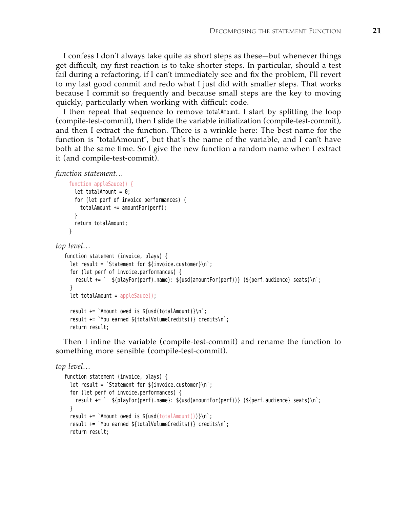I confess I don't always take quite as short steps as these—but whenever things get difficult, my first reaction is to take shorter steps. In particular, should a test fail during a refactoring, if I can't immediately see and fix the problem, I'll revert to my last good commit and redo what I just did with smaller steps. That works because I commit so frequently and because small steps are the key to moving quickly, particularly when working with difficult code.

I then repeat that sequence to remove totalAmount. I start by splitting the loop (compile-test-commit), then I slide the variable initialization (compile-test-commit), and then I extract the function. There is a wrinkle here: The best name for the function is "totalAmount", but that's the name of the variable, and I can't have both at the same time. So I give the new function a random name when I extract it (and compile-test-commit).

```
function statement…
```

```
 function appleSauce() {
      let totalAmount = 0;
       for (let perf of invoice.performances) {
         totalAmount += amountFor(perf);
       }
       return totalAmount;
     }
top level…
    function statement (invoice, plays) {
      let result = `Statement for ${invoice.customer}\n`;
      for (let perf of invoice.performances) {
        result += ` ${playFor(perf).name}: ${usd(amountFor(perf))} (${perf.audience} seats)\n`;
  }
     let totalAmount = appleSource();
      result += `Amount owed is ${usd(totalAmount)}\n`;
      result += `You earned ${totalVolumeCredits()} credits\n`;
      return result;
```
Then I inline the variable (compile-test-commit) and rename the function to something more sensible (compile-test-commit).

```
top level…
    function statement (invoice, plays) {
      let result = `Statement for ${invoice.customer}\n`;
      for (let perf of invoice.performances) {
        result += ` ${playFor(perf).name}: ${usd(amountFor(perf))} (${perf.audience} seats)\n`;
      }
      result += `Amount owed is ${usd(totalAmount())}\n`;
      result += `You earned ${totalVolumeCredits()} credits\n`;
      return result;
```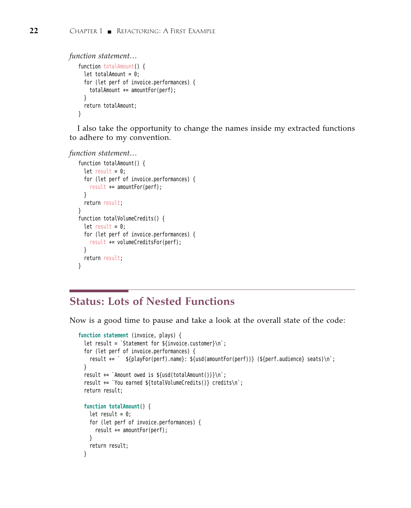```
function statement…
    function totalAmount() {
      let totalAmount = 0;
      for (let perf of invoice.performances) {
        totalAmount += amountFor(perf);
      }
      return totalAmount;
    }
```
I also take the opportunity to change the names inside my extracted functions to adhere to my convention.

```
function statement…
```

```
 function totalAmount() {
 let result = 0;
  for (let perf of invoice.performances) {
    result += amountFor(perf);
  }
  return result;
 }
 function totalVolumeCredits() {
 let result = 0;
  for (let perf of invoice.performances) {
    result += volumeCreditsFor(perf);
  }
  return result;
 }
```
# **Status: Lots of Nested Functions**

Now is a good time to pause and take a look at the overall state of the code:

```
function statement (invoice, plays) {
  let result = `Statement for ${invoice.customer}\n`;
  for (let perf of invoice.performances) {
     result += ` ${playFor(perf).name}: ${usd(amountFor(perf))} (${perf.audience} seats)\n`;
  }
 result += `Amount owed is \frac{1}{3} {usd(totalAmount())}\n`;
   result += `You earned ${totalVolumeCredits()} credits\n`;
  return result;
 function totalAmount() {
   let result = 0;
     for (let perf of invoice.performances) {
       result += amountFor(perf);
     }
     return result;
  }
```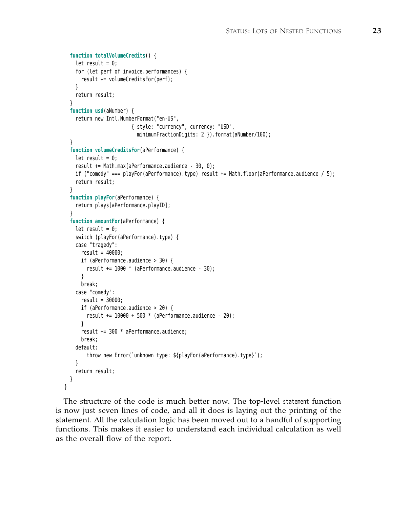```
function totalVolumeCredits() {
     let result = 0;
      for (let perf of invoice.performances) {
        result += volumeCreditsFor(perf);
      }
      return result;
    }
   function usd(aNumber) {
      return new Intl.NumberFormat("en-US",
                           { style: "currency", currency: "USD",
                            minimumFractionDigits: 2 }).format(aNumber/100);
    }
   function volumeCreditsFor(aPerformance) {
     let result = 0;
      result += Math.max(aPerformance.audience - 30, 0);
      if ("comedy" === playFor(aPerformance).type) result += Math.floor(aPerformance.audience / 5);
      return result;
 }
   function playFor(aPerformance) {
       return plays[aPerformance.playID];
 }
   function amountFor(aPerformance) {
     let result = 0;
      switch (playFor(aPerformance).type) {
      case "tragedy":
        result = 40000;
        if (aPerformance.audience > 30) {
          result += 1000 * (aPerformance.audience - 30);
        }
        break;
      case "comedy":
        result = 30000;
        if (aPerformance.audience > 20) {
         result += 10000 + 500 * (aPerformance.audience - 20);
        }
        result += 300 * aPerformance.audience;
        break;
      default:
           throw new Error(`unknown type: ${playFor(aPerformance).type}`);
       }
      return result;
    }
  }
```
The structure of the code is much better now. The top-level statement function is now just seven lines of code, and all it does is laying out the printing of the statement. All the calculation logic has been moved out to a handful of supporting functions. This makes it easier to understand each individual calculation as well as the overall flow of the report.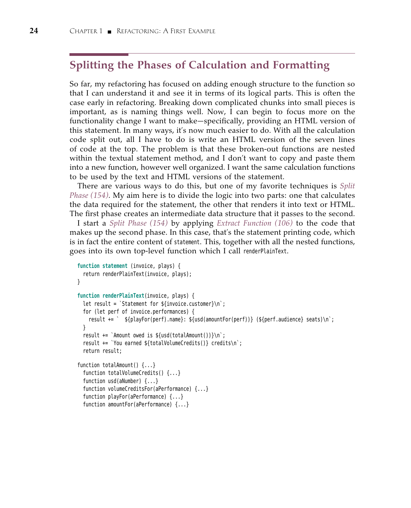## **Splitting the Phases of Calculation and Formatting**

So far, my refactoring has focused on adding enough structure to the function so that I can understand it and see it in terms of its logical parts. This is often the case early in refactoring. Breaking down complicated chunks into small pieces is important, as is naming things well. Now, I can begin to focus more on the functionality change I want to make—specifically, providing an HTML version of this statement. In many ways, it's now much easier to do. With all the calculation code split out, all I have to do is write an HTML version of the seven lines of code at the top. The problem is that these broken-out functions are nested within the textual statement method, and I don't want to copy and paste them into a new function, however well organized. I want the same calculation functions to be used by the text and HTML versions of the statement.

There are various ways to do this, but one of my favorite techniques is *Split Phase (154)*. My aim here is to divide the logic into two parts: one that calculates the data required for the statement, the other that renders it into text or HTML. The first phase creates an intermediate data structure that it passes to the second.

I start a *Split Phase (154)* by applying *Extract Function (106)* to the code that makes up the second phase. In this case, that's the statement printing code, which is in fact the entire content of statement. This, together with all the nested functions, goes into its own top-level function which I call renderPlainText.

```
function statement (invoice, plays) {
   return renderPlainText(invoice, plays);
}
function renderPlainText(invoice, plays) {
   let result = `Statement for ${invoice.customer}\n`;
   for (let perf of invoice.performances) {
     result += ` ${playFor(perf).name}: ${usd(amountFor(perf))} (${perf.audience} seats)\n`;
   }
   result += `Amount owed is ${usd(totalAmount())}\n`;
   result += `You earned ${totalVolumeCredits()} credits\n`;
   return result;
function totalAmount() {...}
   function totalVolumeCredits() {...}
   function usd(aNumber) {...}
   function volumeCreditsFor(aPerformance) {...}
   function playFor(aPerformance) {...}
   function amountFor(aPerformance) {...}
```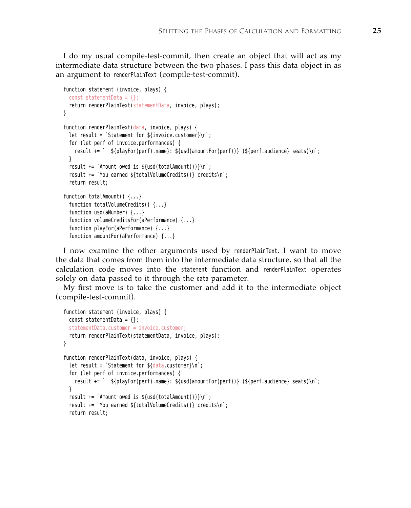I do my usual compile-test-commit, then create an object that will act as my intermediate data structure between the two phases. I pass this data object in as an argument to renderPlainText (compile-test-commit).

```
function statement (invoice, plays) {
  const statementData = {};
  return renderPlainText(statementData, invoice, plays);
}
function renderPlainText(data, invoice, plays) {
   let result = `Statement for ${invoice.customer}\n`;
   for (let perf of invoice.performances) {
     result += ` ${playFor(perf).name}: ${usd(amountFor(perf))} (${perf.audience} seats)\n`;
 }
   result += `Amount owed is ${usd(totalAmount())}\n`;
   result += `You earned ${totalVolumeCredits()} credits\n`;
   return result;
function totalAmount() {...}
  function totalVolumeCredits() {...}
   function usd(aNumber) {...}
   function volumeCreditsFor(aPerformance) {...}
   function playFor(aPerformance) {...}
   function amountFor(aPerformance) {...}
```
I now examine the other arguments used by renderPlainText. I want to move the data that comes from them into the intermediate data structure, so that all the calculation code moves into the statement function and renderPlainText operates solely on data passed to it through the data parameter.

My first move is to take the customer and add it to the intermediate object (compile-test-commit).

```
function statement (invoice, plays) {
  const statementData = {};
  statementData.customer = invoice.customer;
  return renderPlainText(statementData, invoice, plays);
}
function renderPlainText(data, invoice, plays) {
  let result = `Statement for {\{data.customer\}};
   for (let perf of invoice.performances) {
     result += ` ${playFor(perf).name}: ${usd(amountFor(perf))} (${perf.audience} seats)\n`;
 }
   result += `Amount owed is ${usd(totalAmount())}\n`;
   result += `You earned ${totalVolumeCredits()} credits\n`;
   return result;
```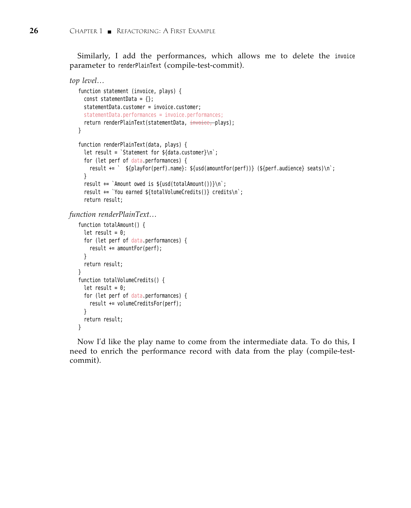Similarly, I add the performances, which allows me to delete the invoice parameter to renderPlainText (compile-test-commit).

```
top level…
    function statement (invoice, plays) {
      const statementData = {};
      statementData.customer = invoice.customer;
      statementData.performances = invoice.performances;
     return renderPlainText(statementData, invoice, plays);
    }
    function renderPlainText(data, plays) {
      let result = `Statement for ${data.customer}\n`;
      for (let perf of data.performances) {
        result += ` ${playFor(perf).name}: ${usd(amountFor(perf))} (${perf.audience} seats)\n`;
      }
     result += `Amount owed is \frac{1}{3} {usd(totalAmount())}\n`;
      result += `You earned ${totalVolumeCredits()} credits\n`;
      return result;
function renderPlainText…
    function totalAmount() {
     let result = 0:
      for (let perf of data.performances) {
        result += amountFor(perf);
      }
      return result;
```
Now I'd like the play name to come from the intermediate data. To do this, I

need to enrich the performance record with data from the play (compile-testcommit).

function totalVolumeCredits() {

 for (let perf of data.performances) { result += volumeCreditsFor(perf);

let result = 0;

return result;

}

}

}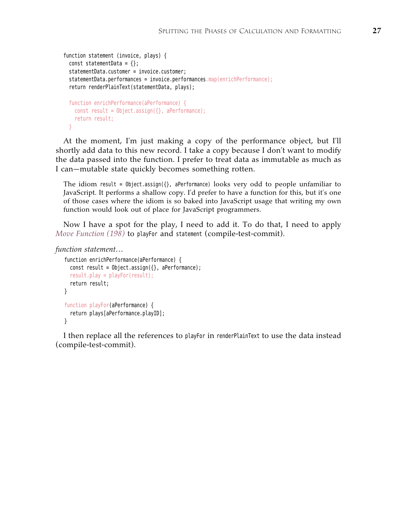```
function statement (invoice, plays) {
  const statementData = {};
 statementData.customer = invoice.customer:
 statementData.performances = invoice.performances.map(enrichPerformance);
  return renderPlainText(statementData, plays);
  function enrichPerformance(aPerformance) {
    const result = Object.assign({}, aPerformance);
    return result;
  }
```
At the moment, I'm just making a copy of the performance object, but I'll shortly add data to this new record. I take a copy because I don't want to modify the data passed into the function. I prefer to treat data as immutable as much as I can—mutable state quickly becomes something rotten.

The idiom result = 0bject.assign( $\{\}$ , aPerformance) looks very odd to people unfamiliar to JavaScript. It performs a shallow copy. I'd prefer to have a function for this, but it's one of those cases where the idiom is so baked into JavaScript usage that writing my own function would look out of place for JavaScript programmers.

Now I have a spot for the play, I need to add it. To do that, I need to apply *Move Function (198)* to playFor and statement (compile-test-commit).

```
function statement…
```

```
 function enrichPerformance(aPerformance) {
  const result = Object.assign({}, aPerformance);
  result.play = playFor(result);
  return result;
 }
function playFor(aPerformance) {
   return plays[aPerformance.playID];
 }
```
I then replace all the references to playFor in renderPlainText to use the data instead (compile-test-commit).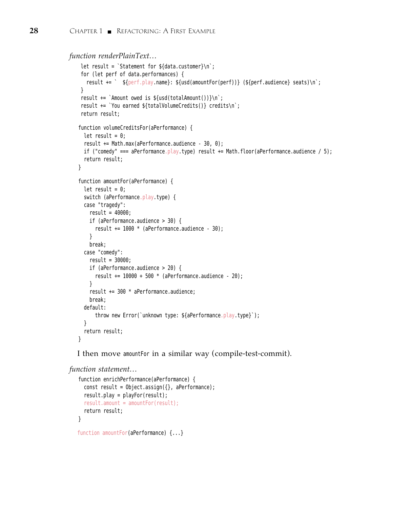```
function renderPlainText…
     let result = `Statement for ${data.customer}\n`;
     for (let perf of data.performances) {
       result += ` ${perf.play.name}: ${usd(amountFor(perf))} (${perf.audience} seats)\n`;
     }
     result += `Amount owed is ${usd(totalAmount())}\n`;
     result += `You earned ${totalVolumeCredits()} credits\n`;
     return result;
    function volumeCreditsFor(aPerformance) {
     let result = 0;
      result += Math.max(aPerformance.audience - 30, 0);
     if ("comedy" === aPerformance.play.type) result += Math.floor(aPerformance.audience / 5);
      return result;
    }
    function amountFor(aPerformance) {
     let result = 0;
     switch (aPerformance.play.type) {
      case "tragedy":
       result = 40000: if (aPerformance.audience > 30) {
          result += 1000 * (aPerformance.audience - 30);
        }
        break;
      case "comedy":
        result = 30000;
        if (aPerformance.audience > 20) {
          result += 10000 + 500 * (aPerformance.audience - 20);
        }
        result += 300 * aPerformance.audience;
        break;
      default:
          throw new Error(`unknown type: ${aPerformance.play.type}`);
      }
      return result;
    }
```
I then move amountFor in a similar way (compile-test-commit).

```
function statement…
```

```
 function enrichPerformance(aPerformance) {
   const result = Object.assign({}, aPerformance);
   result.play = playFor(result);
   result.amount = amountFor(result);
   return result;
 }
function amountFor(aPerformance) {...}
```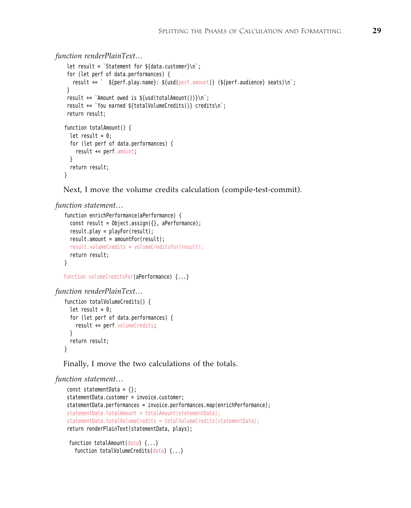*function renderPlainText…*

```
 let result = `Statement for ${data.customer}\n`;
 for (let perf of data.performances) {
   result += ` ${perf.play.name}: ${usd(perf.amount)} (${perf.audience} seats)\n`;
 }
 result += `Amount owed is ${usd(totalAmount())}\n`;
 result += `You earned ${totalVolumeCredits()} credits\n`;
 return result;
 function totalAmount() {
 let result = 0;
  for (let perf of data.performances) {
     result += perf.amount;
  }
  return result;
 }
```
Next, I move the volume credits calculation (compile-test-commit).

```
function statement…
```

```
 function enrichPerformance(aPerformance) {
   const result = Object.assign({}, aPerformance);
   result.play = playFor(result);
   result.amount = amountFor(result);
   result.volumeCredits = volumeCreditsFor(result);
   return result;
 }
function volumeCreditsFor(aPerformance) {...}
```
*function renderPlainText…*

```
 function totalVolumeCredits() {
 let result = 0;
  for (let perf of data.performances) {
     result += perf.volumeCredits;
  }
  return result;
 }
```
Finally, I move the two calculations of the totals.

```
function statement…
```

```
 const statementData = {};
 statementData.customer = invoice.customer;
statementData.performances = invoice.performances.map(enrichPerformance);
statementData.totalAmount = totalAmount(statementData);
statementData.totalVolumeCredits = totalVolumeCredits(statementData);
 return renderPlainText(statementData, plays);
 function totalAmount(data) {...}
```

```
 function totalVolumeCredits(data) {...}
```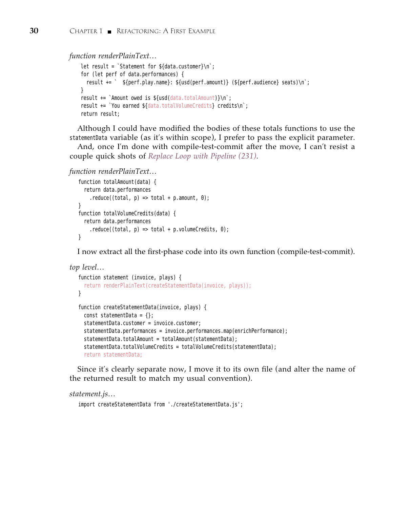#### *function renderPlainText…*

```
 let result = `Statement for ${data.customer}\n`;
 for (let perf of data.performances) {
 result += ` ${perf.play.name}: ${usd(perf.amount)} (${perf.audience} seats)\n`;
 }
result += `Amount owed is \frac{1}{3} (usd(data.totalAmount)}\n`;
 result += `You earned ${data.totalVolumeCredits} credits\n`;
 return result;
```
Although I could have modified the bodies of these totals functions to use the statementData variable (as it's within scope), I prefer to pass the explicit parameter.

And, once I'm done with compile-test-commit after the move, I can't resist a couple quick shots of *Replace Loop with Pipeline (231)*.

```
function renderPlainText…
```

```
 function totalAmount(data) {
   return data.performances
    .reduce((total, p) => total + p.amount, \theta);
 }
 function totalVolumeCredits(data) {
   return data.performances
    .reduce((total, p) => total + p.volumeCredits, \theta);
 }
```
I now extract all the first-phase code into its own function (compile-test-commit).

```
top level…
   function statement (invoice, plays) {
     return renderPlainText(createStatementData(invoice, plays));
   }
   function createStatementData(invoice, plays) {
     const statementData = {};
     statementData.customer = invoice.customer;
    statementData.performances = invoice.performances.map(enrichPerformance);
    statementData.totalAmount = totalAmount(statementData);
      statementData.totalVolumeCredits = totalVolumeCredits(statementData);
     return statementData;
```
Since it's clearly separate now, I move it to its own file (and alter the name of the returned result to match my usual convention).

```
statement.js…
```

```
 import createStatementData from './createStatementData.js';
```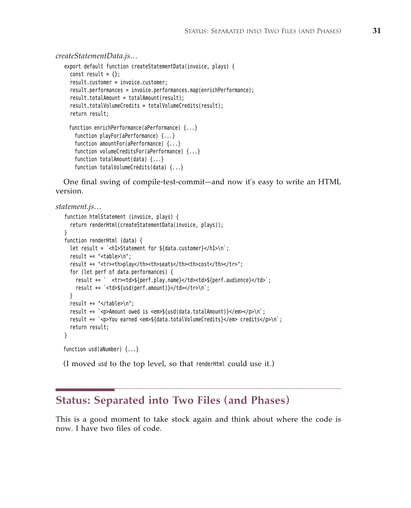```
createStatementData.js…
```

```
 export default function createStatementData(invoice, plays) {
  const result = \{\}:
   result.customer = invoice.customer;
   result.performances = invoice.performances.map(enrichPerformance);
   result.totalAmount = totalAmount(result);
   result.totalVolumeCredits = totalVolumeCredits(result);
   return result;
  function enrichPerformance(aPerformance) {...}
    function playFor(aPerformance) {...}
    function amountFor(aPerformance) {...}
    function volumeCreditsFor(aPerformance) {...}
    function totalAmount(data) {...}
    function totalVolumeCredits(data) {...}
```
One final swing of compile-test-commit—and now it's easy to write an HTML version.

```
statement.js…
    function htmlStatement (invoice, plays) {
      return renderHtml(createStatementData(invoice, plays));
    }
    function renderHtml (data) {
      let result = `<h1>Statement for ${data.customer}</h1>\n`;
      result += "<table>\n";
     result += "<tr>>th>play</th><th>seats</th><th>cost</th></tr>";
      for (let perf of data.performances) {
        result += ` <tr><td>${perf.play.name}</td><td>${perf.audience}</td>`;
       result += \text{td}>${usd(perf.amount)}</td></tr>\n`;
      }
     result += "</table>\n";
      result += `<p>Amount owed is <em>${usd(data.totalAmount)}</em></p>\n`;
      result += `<p>You earned <em>${data.totalVolumeCredits}</em> credits</p>\n`;
      return result;
    }
   function usd(aNumber) {...}
```
(I moved usd to the top level, so that renderHtml could use it.)

# **Status: Separated into Two Files (and Phases)**

This is a good moment to take stock again and think about where the code is now. I have two files of code.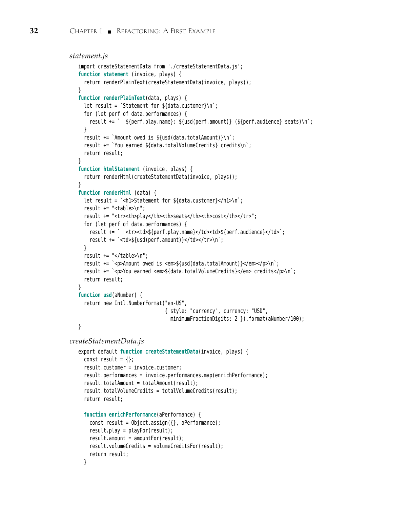```
statement.js
    import createStatementData from './createStatementData.js';
   function statement (invoice, plays) {
      return renderPlainText(createStatementData(invoice, plays));
    }
   function renderPlainText(data, plays) {
      let result = `Statement for ${data.customer}\n`;
      for (let perf of data.performances) {
        result += ` ${perf.play.name}: ${usd(perf.amount)} (${perf.audience} seats)\n`;
      }
     result += `Amount owed is \frac{1}{3} (data.totalAmount)}\n`;
      result += `You earned ${data.totalVolumeCredits} credits\n`;
      return result;
    }
   function htmlStatement (invoice, plays) {
      return renderHtml(createStatementData(invoice, plays));
    }
   function renderHtml (data) {
      let result = `<h1>Statement for ${data.customer}</h1>\n`;
      result += "<table>\n";
     result += "<tr>>th>play</th><th>seats</th><th><ost</th></tr>";
      for (let perf of data.performances) {
        result += ` <tr><td>${perf.play.name}</td><td>${perf.audience}</td>`;
       result += \text{K}(1) -td>${usd(perf.amount)}</td></tr>
      }
      result += "</table>\n";
      result += `<p>Amount owed is <em>${usd(data.totalAmount)}</em></p>\n`;
      result += `<p>You earned <em>${data.totalVolumeCredits}</em> credits</p>\n`;
      return result;
  }
   function usd(aNumber) {
      return new Intl.NumberFormat("en-US",
                                    { style: "currency", currency: "USD",
                                     minimumFractionDigits: 2 }).format(aNumber/100):
    }
createStatementData.js
    export default function createStatementData(invoice, plays) {
     const result = \{\};
      result.customer = invoice.customer;
      result.performances = invoice.performances.map(enrichPerformance);
      result.totalAmount = totalAmount(result);
      result.totalVolumeCredits = totalVolumeCredits(result);
      return result;
     function enrichPerformance(aPerformance) {
       const result = Object.assign({}, aPerformance);
        result.play = playFor(result);
        result.amount = amountFor(result);
```
result.volumeCredits = volumeCreditsFor(result);

return result;

}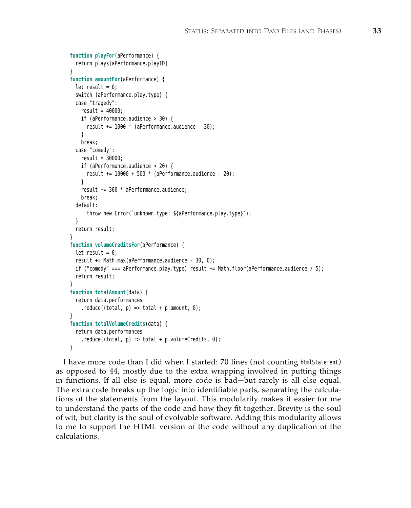```
function playFor(aPerformance) {
       return plays[aPerformance.playID] 
 }
   function amountFor(aPerformance) {
     let result = 0:
      switch (aPerformance.play.type) {
      case "tragedy":
        result = 40000;
        if (aPerformance.audience > 30) {
          result += 1000 * (aPerformance.audience - 30);
 }
        break;
       case "comedy":
        result = 30000;
        if (aPerformance.audience > 20) {
          result += 10000 + 500 * (aPerformance.audience - 20);
        }
        result += 300 * aPerformance.audience;
        break;
      default:
           throw new Error(`unknown type: ${aPerformance.play.type}`);
       }
      return result;
    }
   function volumeCreditsFor(aPerformance) {
     let result = 0;
      result += Math.max(aPerformance.audience - 30, 0);
      if ("comedy" === aPerformance.play.type) result += Math.floor(aPerformance.audience / 5);
      return result;
    }
   function totalAmount(data) {
      return data.performances
        .reduce((total, p) => total + p.amount, \theta);
 }
   function totalVolumeCredits(data) {
      return data.performances
       .reduce((total, p) => total + p.volumeCredits, \theta);
    }
```
I have more code than I did when I started: 70 lines (not counting htmlStatement) as opposed to 44, mostly due to the extra wrapping involved in putting things in functions. If all else is equal, more code is bad—but rarely is all else equal. The extra code breaks up the logic into identifiable parts, separating the calculations of the statements from the layout. This modularity makes it easier for me to understand the parts of the code and how they fit together. Brevity is the soul of wit, but clarity is the soul of evolvable software. Adding this modularity allows to me to support the HTML version of the code without any duplication of the calculations.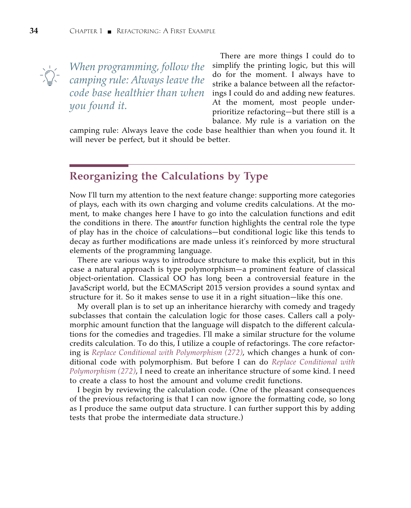*When programming, follow the camping rule: Always leave the code base healthier than when you found it.*

There are more things I could do to simplify the printing logic, but this will do for the moment. I always have to strike a balance between all the refactorings I could do and adding new features. At the moment, most people underprioritize refactoring—but there still is a balance. My rule is a variation on the

camping rule: Always leave the code base healthier than when you found it. It will never be perfect, but it should be better.

## **Reorganizing the Calculations by Type**

Now I'll turn my attention to the next feature change: supporting more categories of plays, each with its own charging and volume credits calculations. At the moment, to make changes here I have to go into the calculation functions and edit the conditions in there. The amountFor function highlights the central role the type of play has in the choice of calculations—but conditional logic like this tends to decay as further modifications are made unless it's reinforced by more structural elements of the programming language.

There are various ways to introduce structure to make this explicit, but in this case a natural approach is type polymorphism—a prominent feature of classical object-orientation. Classical OO has long been a controversial feature in the JavaScript world, but the ECMAScript 2015 version provides a sound syntax and structure for it. So it makes sense to use it in a right situation—like this one.

My overall plan is to set up an inheritance hierarchy with comedy and tragedy subclasses that contain the calculation logic for those cases. Callers call a polymorphic amount function that the language will dispatch to the different calculations for the comedies and tragedies. I'll make a similar structure for the volume credits calculation. To do this, I utilize a couple of refactorings. The core refactoring is *Replace Conditional with Polymorphism (272)*, which changes a hunk of conditional code with polymorphism. But before I can do *Replace Conditional with Polymorphism (272)*, I need to create an inheritance structure of some kind. I need to create a class to host the amount and volume credit functions.

I begin by reviewing the calculation code. (One of the pleasant consequences of the previous refactoring is that I can now ignore the formatting code, so long as I produce the same output data structure. I can further support this by adding tests that probe the intermediate data structure.)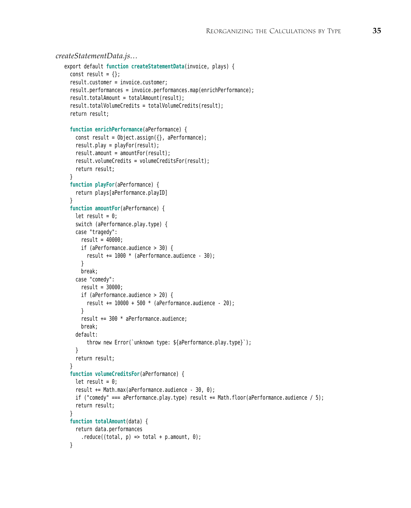```
createStatementData.js…
    export default function createStatementData(invoice, plays) {
     const result = \{\}:
      result.customer = invoice.customer;
      result.performances = invoice.performances.map(enrichPerformance);
      result.totalAmount = totalAmount(result);
      result.totalVolumeCredits = totalVolumeCredits(result);
      return result;
     function enrichPerformance(aPerformance) {
        const result = Object.assign({}, aPerformance);
        result.play = playFor(result);
        result.amount = amountFor(result);
        result.volumeCredits = volumeCreditsFor(result);
        return result;
  }
     function playFor(aPerformance) {
        return plays[aPerformance.playID] 
      }
     function amountFor(aPerformance) {
       let result = 0;
        switch (aPerformance.play.type) {
        case "tragedy":
          result = 40000;
          if (aPerformance.audience > 30) {
            result += 1000 * (aPerformance.audience - 30);
          }
          break;
        case "comedy":
          result = 30000;
          if (aPerformance.audience > 20) {
           result += 10000 + 500 * (aPerformance.audience - 20); }
          result += 300 * aPerformance.audience;
          break;
        default:
            throw new Error(`unknown type: ${aPerformance.play.type}`);
        }
        return result;
      }
     function volumeCreditsFor(aPerformance) {
       let result = 0;
        result += Math.max(aPerformance.audience - 30, 0);
        if ("comedy" === aPerformance.play.type) result += Math.floor(aPerformance.audience / 5);
        return result;
  }
     function totalAmount(data) {
        return data.performances
         .reduce((total, p) => total + p.amount, \theta);
      }
```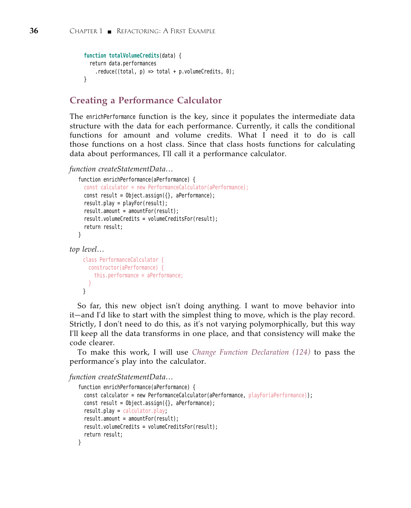```
function totalVolumeCredits(data) {
   return data.performances
    .reduce((total, p) => total + p.volumeCredits, \theta);
 }
```
#### **Creating a Performance Calculator**

The enrichPerformance function is the key, since it populates the intermediate data structure with the data for each performance. Currently, it calls the conditional functions for amount and volume credits. What I need it to do is call those functions on a host class. Since that class hosts functions for calculating data about performances, I'll call it a performance calculator.

```
function createStatementData…
```

```
 function enrichPerformance(aPerformance) {
      const calculator = new PerformanceCalculator(aPerformance);
      const result = Object.assign({}, aPerformance);
      result.play = playFor(result);
      result.amount = amountFor(result);
      result.volumeCredits = volumeCreditsFor(result);
      return result;
    }
top level…
     class PerformanceCalculator {
       constructor(aPerformance) {
         this.performance = aPerformance;
       }
     }
```
So far, this new object isn't doing anything. I want to move behavior into it—and I'd like to start with the simplest thing to move, which is the play record. Strictly, I don't need to do this, as it's not varying polymorphically, but this way I'll keep all the data transforms in one place, and that consistency will make the code clearer.

To make this work, I will use *Change Function Declaration (124)* to pass the performance's play into the calculator.

```
function createStatementData…
```

```
 function enrichPerformance(aPerformance) {
  const calculator = new PerformanceCalculator(aPerformance, playFor(aPerformance));
   const result = Object.assign({}, aPerformance);
  result.play = calculator.play;
   result.amount = amountFor(result);
   result.volumeCredits = volumeCreditsFor(result);
  return result;
 }
```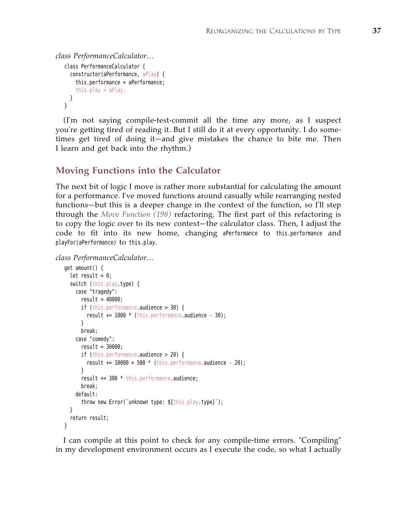```
class PerformanceCalculator…
    class PerformanceCalculator {
      constructor(aPerformance, aPlay) {
        this.performance = aPerformance;
        this.play = aPlay;
      }
   }
```
(I'm not saying compile-test-commit all the time any more, as I suspect you're getting tired of reading it. But I still do it at every opportunity. I do sometimes get tired of doing it—and give mistakes the chance to bite me. Then I learn and get back into the rhythm.)

#### **Moving Functions into the Calculator**

The next bit of logic I move is rather more substantial for calculating the amount for a performance. I've moved functions around casually while rearranging nested functions—but this is a deeper change in the context of the function, so I'll step through the *Move Function (198)* refactoring. The first part of this refactoring is to copy the logic over to its new context—the calculator class. Then, I adjust the code to fit into its new home, changing aPerformance to this.performance and playFor(aPerformance) to this.play.

*class PerformanceCalculator…*

```
 get amount() {
 let result = 0;
   switch (this.play.type) {
     case "tragedy":
       result = 40000;
       if (this.performance.audience > 30) {
         result += 1000 * (this.performance.audience - 30);
       }
       break;
     case "comedy":
       result = 30000;
       if (this.performance.audience > 20) {
         result += 10000 + 500 * (this.performance.audience - 20);
       }
       result += 300 * this.performance.audience;
       break;
     default:
       throw new Error(`unknown type: ${this.play.type}`);
   }
   return result;
 }
```
I can compile at this point to check for any compile-time errors. "Compiling" in my development environment occurs as I execute the code, so what I actually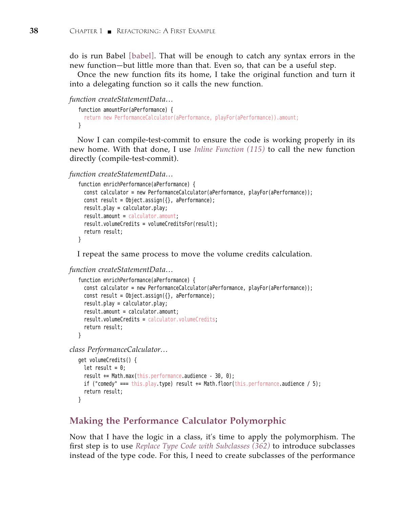do is run Babel [babel]. That will be enough to catch any syntax errors in the new function—but little more than that. Even so, that can be a useful step.

Once the new function fits its home, I take the original function and turn it into a delegating function so it calls the new function.

```
function createStatementData…
```

```
 function amountFor(aPerformance) {
   return new PerformanceCalculator(aPerformance, playFor(aPerformance)).amount;
 }
```
Now I can compile-test-commit to ensure the code is working properly in its new home. With that done, I use *Inline Function (115)* to call the new function directly (compile-test-commit).

*function createStatementData…*

```
 function enrichPerformance(aPerformance) {
   const calculator = new PerformanceCalculator(aPerformance, playFor(aPerformance));
   const result = Object.assign({}, aPerformance);
  result.play = calculator.play;
  result.amount = calculator.amount;
  result.volumeCredits = volumeCreditsFor(result);
  return result;
 }
```
I repeat the same process to move the volume credits calculation.

*function createStatementData…*

```
 function enrichPerformance(aPerformance) {
   const calculator = new PerformanceCalculator(aPerformance, playFor(aPerformance));
   const result = Object.assign({}, aPerformance);
  result.play = calculator.play;
   result.amount = calculator.amount;
  result.volumeCredits = calculator.volumeCredits;
  return result;
 }
```
*class PerformanceCalculator…*

```
 get volumeCredits() {
 let result = 0:
  result += Math.max(this.performance.audience - 30, 0);
 if ("comedy" === this.play.type) result += Math.floor(this.performance.audience / 5);
   return result;
 }
```
#### **Making the Performance Calculator Polymorphic**

Now that I have the logic in a class, it's time to apply the polymorphism. The first step is to use *Replace Type Code with Subclasses (362)* to introduce subclasses instead of the type code. For this, I need to create subclasses of the performance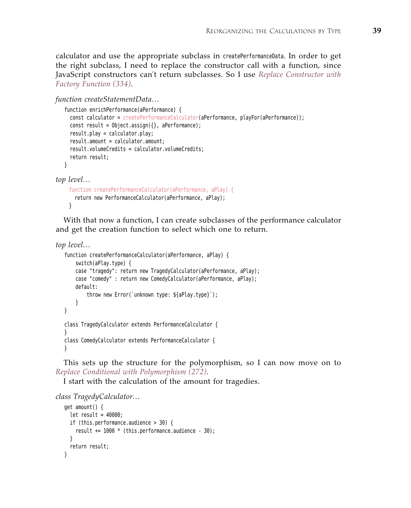calculator and use the appropriate subclass in createPerformanceData. In order to get the right subclass, I need to replace the constructor call with a function, since JavaScript constructors can't return subclasses. So I use *Replace Constructor with Factory Function (334)*.

```
function createStatementData…
```

```
 function enrichPerformance(aPerformance) {
  const calculator = createPerformanceCalculator(aPerformance, playFor(aPerformance));
   const result = Object.assign({}, aPerformance);
   result.play = calculator.play;
   result.amount = calculator.amount;
   result.volumeCredits = calculator.volumeCredits;
   return result;
 }
```
*top level…*

```
 function createPerformanceCalculator(aPerformance, aPlay) {
  return new PerformanceCalculator(aPerformance, aPlay);
 }
```
With that now a function, I can create subclasses of the performance calculator and get the creation function to select which one to return.

*top level…*

```
 function createPerformanceCalculator(aPerformance, aPlay) {
      switch(aPlay.type) {
      case "tragedy": return new TragedyCalculator(aPerformance, aPlay);
      case "comedy" : return new ComedyCalculator(aPerformance, aPlay);
      default:
           throw new Error(`unknown type: ${aPlay.type}`);
      }
  }
  class TragedyCalculator extends PerformanceCalculator {
 }
  class ComedyCalculator extends PerformanceCalculator {
  }
```
This sets up the structure for the polymorphism, so I can now move on to *Replace Conditional with Polymorphism (272)*.

I start with the calculation of the amount for tragedies.

*class TragedyCalculator…*

```
 get amount() {
 let result = 40000:
   if (this.performance.audience > 30) {
     result += 1000 * (this.performance.audience - 30);
  }
  return result;
 }
```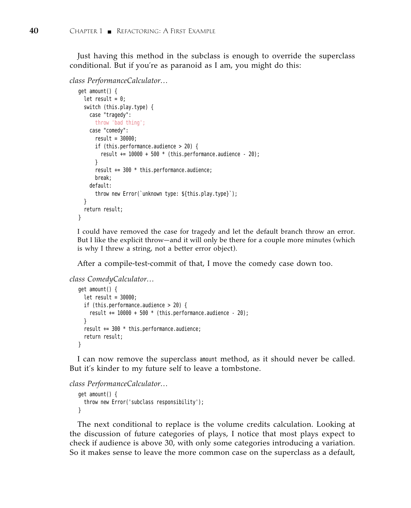Just having this method in the subclass is enough to override the superclass conditional. But if you're as paranoid as I am, you might do this:

```
class PerformanceCalculator…
```

```
 get amount() {
  let result = 0;
  switch (this.play.type) {
    case "tragedy":
      throw 'bad thing';
    case "comedy":
       result = 30000;
       if (this.performance.audience > 20) {
        result += 10000 + 500 * (this.performance.audience - 20);
       }
       result += 300 * this.performance.audience;
       break;
     default:
       throw new Error(`unknown type: ${this.play.type}`);
  }
   return result;
 }
```
I could have removed the case for tragedy and let the default branch throw an error. But I like the explicit throw—and it will only be there for a couple more minutes (which is why I threw a string, not a better error object).

After a compile-test-commit of that, I move the comedy case down too.

```
class ComedyCalculator…
```

```
 get amount() {
  let result = 30000;
  if (this.performance.audience > 20) {
    result += 10000 + 500 * (this.performance.audience - 20);
  }
  result += 300 * this.performance.audience;
  return result;
 }
```
I can now remove the superclass amount method, as it should never be called. But it's kinder to my future self to leave a tombstone.

```
class PerformanceCalculator…
```

```
 get amount() {
    throw new Error('subclass responsibility');
 }
```
The next conditional to replace is the volume credits calculation. Looking at the discussion of future categories of plays, I notice that most plays expect to check if audience is above 30, with only some categories introducing a variation. So it makes sense to leave the more common case on the superclass as a default,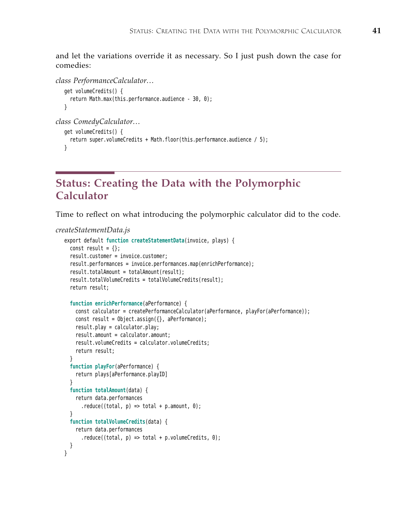and let the variations override it as necessary. So I just push down the case for comedies:

```
class PerformanceCalculator…
    get volumeCredits() {
      return Math.max(this.performance.audience - 30, 0);
    }
class ComedyCalculator…
    get volumeCredits() {
      return super.volumeCredits + Math.floor(this.performance.audience / 5);
    }
```
# **Status: Creating the Data with the Polymorphic Calculator**

Time to reflect on what introducing the polymorphic calculator did to the code.

```
createStatementData.js
```

```
 export default function createStatementData(invoice, plays) {
   const result = \{\}:
    result.customer = invoice.customer;
    result.performances = invoice.performances.map(enrichPerformance);
    result.totalAmount = totalAmount(result);
    result.totalVolumeCredits = totalVolumeCredits(result);
    return result;
   function enrichPerformance(aPerformance) {
     const calculator = createPerformanceCalculator(aPerformance, playFor(aPerformance));
      const result = Object.assign({}, aPerformance);
      result.play = calculator.play;
       result.amount = calculator.amount;
       result.volumeCredits = calculator.volumeCredits;
      return result;
    }
   function playFor(aPerformance) {
       return plays[aPerformance.playID]
 }
   function totalAmount(data) {
      return data.performances
        .reduce((total, p) => total + p.amount, \theta);
    }
   function totalVolumeCredits(data) {
       return data.performances
        .reduce((total, p) => total + p.volumeCredits, \theta);
    }
  }
```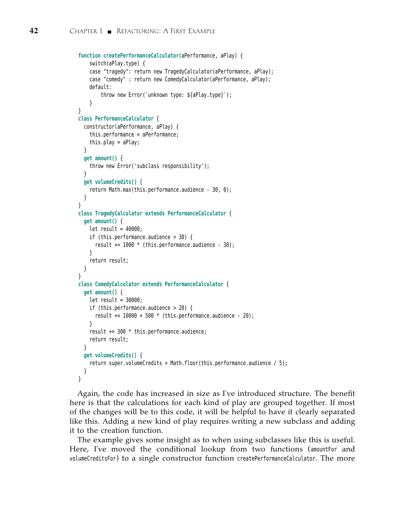```
function createPerformanceCalculator(aPerformance, aPlay) {
     switch(aPlay.type) {
     case "tragedy": return new TragedyCalculator(aPerformance, aPlay);
     case "comedy" : return new ComedyCalculator(aPerformance, aPlay);
     default:
         throw new Error(`unknown type: ${aPlay.type}`);
     }
 }
class PerformanceCalculator {
  constructor(aPerformance, aPlay) {
     this.performance = aPerformance;
     this.play = aPlay;
   }
  get amount() {
     throw new Error('subclass responsibility');
   }
  get volumeCredits() {
     return Math.max(this.performance.audience - 30, 0);
  }
 }
class TragedyCalculator extends PerformanceCalculator {
 get amount() {
     let result = 40000;
     if (this.performance.audience > 30) {
       result += 1000 * (this.performance.audience - 30);
     }
     return result;
  }
 }
class ComedyCalculator extends PerformanceCalculator {
  get amount() {
    let result = 30000;
     if (this.performance.audience > 20) {
      result += 10000 + 500 * (this.performance.audience - 20);
     }
     result += 300 * this.performance.audience;
     return result;
  }
  get volumeCredits() {
     return super.volumeCredits + Math.floor(this.performance.audience / 5);
  }
 }
```
Again, the code has increased in size as I've introduced structure. The benefit here is that the calculations for each kind of play are grouped together. If most of the changes will be to this code, it will be helpful to have it clearly separated like this. Adding a new kind of play requires writing a new subclass and adding it to the creation function.

The example gives some insight as to when using subclasses like this is useful. Here, I've moved the conditional lookup from two functions (amountFor and volumeCreditsFor) to a single constructor function createPerformanceCalculator. The more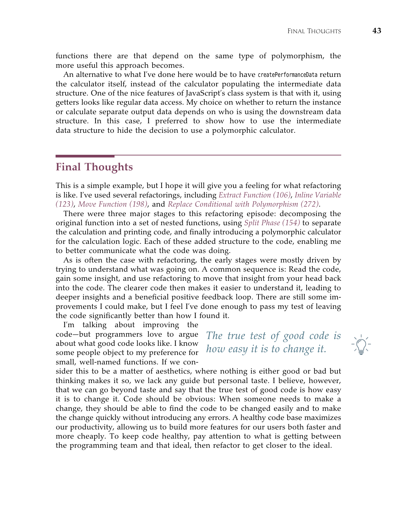functions there are that depend on the same type of polymorphism, the more useful this approach becomes.

An alternative to what I've done here would be to have createPerformanceData return the calculator itself, instead of the calculator populating the intermediate data structure. One of the nice features of JavaScript's class system is that with it, using getters looks like regular data access. My choice on whether to return the instance or calculate separate output data depends on who is using the downstream data structure. In this case, I preferred to show how to use the intermediate data structure to hide the decision to use a polymorphic calculator.

#### **Final Thoughts**

This is a simple example, but I hope it will give you a feeling for what refactoring is like. I've used several refactorings, including *Extract Function (106)*, *Inline Variable (123)*, *Move Function (198)*, and *Replace Conditional with Polymorphism (272)*.

There were three major stages to this refactoring episode: decomposing the original function into a set of nested functions, using *Split Phase (154)* to separate the calculation and printing code, and finally introducing a polymorphic calculator for the calculation logic. Each of these added structure to the code, enabling me to better communicate what the code was doing.

As is often the case with refactoring, the early stages were mostly driven by trying to understand what was going on. A common sequence is: Read the code, gain some insight, and use refactoring to move that insight from your head back into the code. The clearer code then makes it easier to understand it, leading to deeper insights and a beneficial positive feedback loop. There are still some improvements I could make, but I feel I've done enough to pass my test of leaving the code significantly better than how I found it.

I'm talking about improving the code—but programmers love to argue about what good code looks like. I know some people object to my preference for small, well-named functions. If we con-

*The true test of good code is how easy it is to change it.*

sider this to be a matter of aesthetics, where nothing is either good or bad but thinking makes it so, we lack any guide but personal taste. I believe, however, that we can go beyond taste and say that the true test of good code is how easy it is to change it. Code should be obvious: When someone needs to make a change, they should be able to find the code to be changed easily and to make the change quickly without introducing any errors. A healthy code base maximizes our productivity, allowing us to build more features for our users both faster and more cheaply. To keep code healthy, pay attention to what is getting between the programming team and that ideal, then refactor to get closer to the ideal.